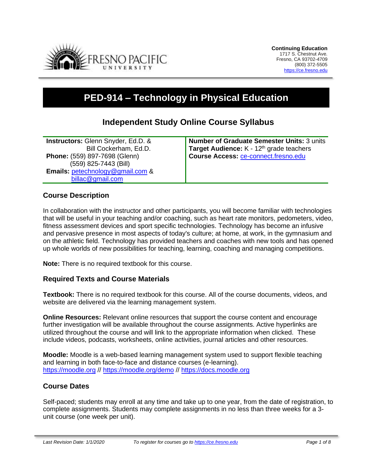

# **PED-914 – Technology in Physical Education**

# **Independent Study Online Course Syllabus**

**Instructors:** Glenn Snyder, Ed.D. & Bill Cockerham, Ed.D. **Phone:** (559) 897-7698 (Glenn) (559) 825-7443 (Bill) **Emails:** [petechnology@gmail.com](mailto:petechnology@gmail.com) & [billac@gmail.com](mailto:billac@gmail.com)

**Number of Graduate Semester Units:** 3 units Target Audience: K - 12<sup>th</sup> grade teachers **Course Access:** [ce-connect.fresno.edu](https://ce-connect.fresno.edu/)

#### **Course Description**

In collaboration with the instructor and other participants, you will become familiar with technologies that will be useful in your teaching and/or coaching, such as heart rate monitors, pedometers, video, fitness assessment devices and sport specific technologies. Technology has become an infusive and pervasive presence in most aspects of today's culture; at home, at work, in the gymnasium and on the athletic field. Technology has provided teachers and coaches with new tools and has opened up whole worlds of new possibilities for teaching, learning, coaching and managing competitions.

**Note:** There is no required textbook for this course.

#### **Required Texts and Course Materials**

**Textbook:** There is no required textbook for this course. All of the course documents, videos, and website are delivered via the learning management system.

**Online Resources:** Relevant online resources that support the course content and encourage further investigation will be available throughout the course assignments. Active hyperlinks are utilized throughout the course and will link to the appropriate information when clicked. These include videos, podcasts, worksheets, online activities, journal articles and other resources.

**Moodle:** Moodle is a web-based learning management system used to support flexible teaching and learning in both face-to-face and distance courses (e-learning). [https://moodle.org](https://moodle.org/) // <https://moodle.org/demo> // [https://docs.moodle.org](https://docs.moodle.org/)

#### **Course Dates**

Self-paced; students may enroll at any time and take up to one year, from the date of registration, to complete assignments. Students may complete assignments in no less than three weeks for a 3 unit course (one week per unit).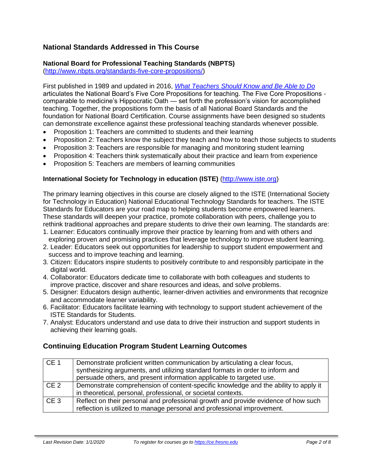# **National Standards Addressed in This Course**

## **National Board for Professional Teaching Standards (NBPTS)**

[\(http://www.nbpts.org/standards-five-core-propositions/\)](http://www.nbpts.org/standards-five-core-propositions/)

First published in 1989 and updated in 2016, *[What Teachers Should Know and Be Able to Do](http://www.accomplishedteacher.org/)* articulates the National Board's Five Core Propositions for teaching. The Five Core Propositions comparable to medicine's Hippocratic Oath — set forth the profession's vision for accomplished teaching. Together, the propositions form the basis of all National Board Standards and the foundation for National Board Certification. Course assignments have been designed so students can demonstrate excellence against these professional teaching standards whenever possible.

- Proposition 1: Teachers are committed to students and their learning
- Proposition 2: Teachers know the subject they teach and how to teach those subjects to students
- Proposition 3: Teachers are responsible for managing and monitoring student learning
- Proposition 4: Teachers think systematically about their practice and learn from experience
- Proposition 5: Teachers are members of learning communities

#### **International Society for Technology in education (ISTE)** [\(http://www.iste.org\)](http://www.iste.org/)

The primary learning objectives in this course are closely aligned to the ISTE (International Society for Technology in Education) National Educational Technology Standards for teachers. The ISTE Standards for Educators are your road map to helping students become empowered learners. These standards will deepen your practice, promote collaboration with peers, challenge you to rethink traditional approaches and prepare students to drive their own learning. The standards are:

- 1. Learner: Educators continually improve their practice by learning from and with others and exploring proven and promising practices that leverage technology to improve student learning.
- 2. Leader: Educators seek out opportunities for leadership to support student empowerment and success and to improve teaching and learning.
- 3. Citizen: Educators inspire students to positively contribute to and responsibly participate in the digital world.
- 4. Collaborator: Educators dedicate time to collaborate with both colleagues and students to improve practice, discover and share resources and ideas, and solve problems.
- 5. Designer: Educators design authentic, learner-driven activities and environments that recognize and accommodate learner variability.
- 6. Facilitator: Educators facilitate learning with technology to support student achievement of the ISTE Standards for Students.
- 7. Analyst: Educators understand and use data to drive their instruction and support students in achieving their learning goals.

## **Continuing Education Program Student Learning Outcomes**

| CE <sub>1</sub> | Demonstrate proficient written communication by articulating a clear focus,         |  |  |
|-----------------|-------------------------------------------------------------------------------------|--|--|
|                 | synthesizing arguments, and utilizing standard formats in order to inform and       |  |  |
|                 | persuade others, and present information applicable to targeted use.                |  |  |
| CE <sub>2</sub> | Demonstrate comprehension of content-specific knowledge and the ability to apply it |  |  |
|                 | in theoretical, personal, professional, or societal contexts.                       |  |  |
| CE <sub>3</sub> | Reflect on their personal and professional growth and provide evidence of how such  |  |  |
|                 | reflection is utilized to manage personal and professional improvement.             |  |  |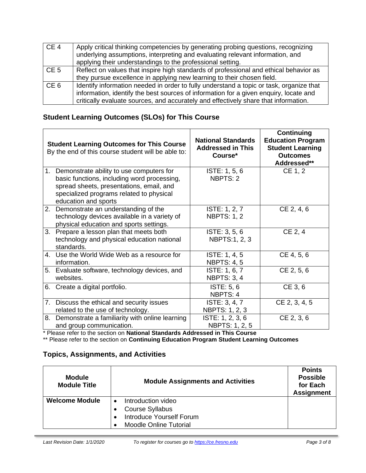| CE <sub>4</sub> | Apply critical thinking competencies by generating probing questions, recognizing<br>underlying assumptions, interpreting and evaluating relevant information, and<br>applying their understandings to the professional setting.                                        |
|-----------------|-------------------------------------------------------------------------------------------------------------------------------------------------------------------------------------------------------------------------------------------------------------------------|
| CE <sub>5</sub> | Reflect on values that inspire high standards of professional and ethical behavior as<br>they pursue excellence in applying new learning to their chosen field.                                                                                                         |
| CE <sub>6</sub> | Identify information needed in order to fully understand a topic or task, organize that<br>information, identify the best sources of information for a given enquiry, locate and<br>critically evaluate sources, and accurately and effectively share that information. |

# **Student Learning Outcomes (SLOs) for This Course**

|                | <b>Student Learning Outcomes for This Course</b><br>By the end of this course student will be able to:                                                                                                  | <b>National Standards</b><br><b>Addressed in This</b><br>Course* | <b>Continuing</b><br><b>Education Program</b><br><b>Student Learning</b><br><b>Outcomes</b><br>Addressed** |
|----------------|---------------------------------------------------------------------------------------------------------------------------------------------------------------------------------------------------------|------------------------------------------------------------------|------------------------------------------------------------------------------------------------------------|
| 1.             | Demonstrate ability to use computers for<br>basic functions, including word processing,<br>spread sheets, presentations, email, and<br>specialized programs related to physical<br>education and sports | ISTE: 1, 5, 6<br>NBPTS: 2                                        | CE 1, 2                                                                                                    |
|                | 2. Demonstrate an understanding of the<br>technology devices available in a variety of<br>physical education and sports settings.                                                                       | ISTE: 1, 2, 7<br><b>NBPTS: 1, 2</b>                              | CE 2, 4, 6                                                                                                 |
| 3 <sub>1</sub> | Prepare a lesson plan that meets both<br>technology and physical education national<br>standards.                                                                                                       | ISTE: 3, 5, 6<br>NBPTS:1, 2, 3                                   | CE 2, 4                                                                                                    |
| 4.             | Use the World Wide Web as a resource for<br>information.                                                                                                                                                | ISTE: 1, 4, 5<br><b>NBPTS: 4, 5</b>                              | CE 4, 5, 6                                                                                                 |
| 5.             | Evaluate software, technology devices, and<br>websites.                                                                                                                                                 | ISTE: 1, 6, 7<br><b>NBPTS: 3, 4</b>                              | CE 2, 5, 6                                                                                                 |
| 6.             | Create a digital portfolio.                                                                                                                                                                             | ISTE: 5, 6<br>NBPTS: 4                                           | CE 3, 6                                                                                                    |
| 7.             | Discuss the ethical and security issues<br>related to the use of technology.                                                                                                                            | ISTE: 3, 4, 7<br>NBPTS: 1, 2, 3                                  | CE 2, 3, 4, 5                                                                                              |
| 8.             | Demonstrate a familiarity with online learning<br>and group communication.                                                                                                                              | ISTE: 1, 2, 3, 6<br>NBPTS: 1, 2, 5                               | CE 2, 3, 6                                                                                                 |

\* Please refer to the section on **National Standards Addressed in This Course**

\*\* Please refer to the section on **Continuing Education Program Student Learning Outcomes**

# **Topics, Assignments, and Activities**

| <b>Module</b><br><b>Module Title</b> | <b>Module Assignments and Activities</b> | <b>Points</b><br><b>Possible</b><br>for Each<br><b>Assignment</b> |
|--------------------------------------|------------------------------------------|-------------------------------------------------------------------|
| <b>Welcome Module</b>                | Introduction video                       |                                                                   |
|                                      | Course Syllabus                          |                                                                   |
|                                      | Introduce Yourself Forum                 |                                                                   |
|                                      | <b>Moodle Online Tutorial</b>            |                                                                   |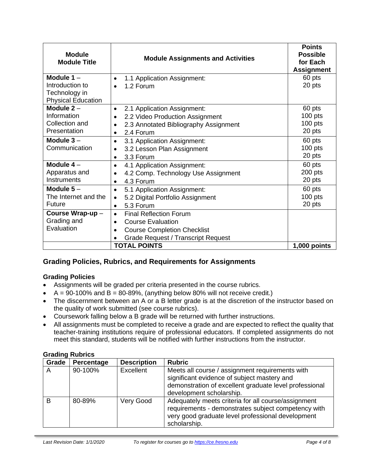| <b>Module</b><br><b>Module Title</b> | <b>Module Assignments and Activities</b>           | <b>Points</b><br><b>Possible</b><br>for Each<br><b>Assignment</b> |
|--------------------------------------|----------------------------------------------------|-------------------------------------------------------------------|
| Module $1 -$                         | 1.1 Application Assignment:<br>$\bullet$           | 60 pts                                                            |
| Introduction to                      | 1.2 Forum<br>$\bullet$                             | 20 pts                                                            |
| Technology in                        |                                                    |                                                                   |
| <b>Physical Education</b>            |                                                    |                                                                   |
| Module $2 -$                         | 2.1 Application Assignment:<br>$\bullet$           | 60 pts                                                            |
| Information                          | 2.2 Video Production Assignment<br>$\bullet$       | $100$ pts                                                         |
| Collection and                       | 2.3 Annotated Bibliography Assignment<br>$\bullet$ | 100 pts                                                           |
| Presentation                         | 2.4 Forum<br>$\bullet$                             | 20 pts                                                            |
| Module $3 -$                         | 3.1 Application Assignment:<br>$\bullet$           | 60 pts                                                            |
| Communication                        | 3.2 Lesson Plan Assignment<br>$\bullet$            | $100$ pts                                                         |
|                                      | 3.3 Forum<br>$\bullet$                             | 20 pts                                                            |
| Module $4-$                          | 4.1 Application Assignment:<br>$\bullet$           | 60 pts                                                            |
| Apparatus and                        | 4.2 Comp. Technology Use Assignment<br>$\bullet$   | 200 pts                                                           |
| Instruments                          | 4.3 Forum<br>$\bullet$                             | 20 pts                                                            |
| Module $5-$                          | 5.1 Application Assignment:<br>$\bullet$           | 60 pts                                                            |
| The Internet and the                 | 5.2 Digital Portfolio Assignment<br>$\bullet$      | $100$ pts                                                         |
| Future                               | 5.3 Forum<br>$\bullet$                             | 20 pts                                                            |
| Course Wrap-up-                      | <b>Final Reflection Forum</b><br>$\bullet$         |                                                                   |
| Grading and                          | <b>Course Evaluation</b><br>$\bullet$              |                                                                   |
| Evaluation                           | <b>Course Completion Checklist</b><br>$\bullet$    |                                                                   |
|                                      | <b>Grade Request / Transcript Request</b>          |                                                                   |
|                                      | <b>TOTAL POINTS</b>                                | 1,000 points                                                      |

## **Grading Policies, Rubrics, and Requirements for Assignments**

#### **Grading Policies**

- Assignments will be graded per criteria presented in the course rubrics.
- $A = 90-100\%$  and  $B = 80-89\%$ , (anything below 80% will not receive credit.)
- The discernment between an A or a B letter grade is at the discretion of the instructor based on the quality of work submitted (see course rubrics).
- Coursework falling below a B grade will be returned with further instructions.
- All assignments must be completed to receive a grade and are expected to reflect the quality that teacher-training institutions require of professional educators. If completed assignments do not meet this standard, students will be notified with further instructions from the instructor.

| <b>Grading Rubrics</b> |  |
|------------------------|--|
|                        |  |

| Grade | Percentage | <b>Description</b> | <b>Rubric</b>                                                                                                                                                                        |
|-------|------------|--------------------|--------------------------------------------------------------------------------------------------------------------------------------------------------------------------------------|
| A     | 90-100%    | Excellent          | Meets all course / assignment requirements with<br>significant evidence of subject mastery and<br>demonstration of excellent graduate level professional<br>development scholarship. |
| B     | 80-89%     | Very Good          | Adequately meets criteria for all course/assignment<br>requirements - demonstrates subject competency with<br>very good graduate level professional development<br>scholarship.      |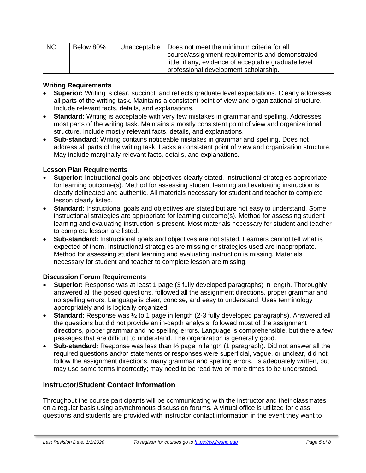| <b>NC</b> | Below 80% | Unacceptable   Does not meet the minimum criteria for all |
|-----------|-----------|-----------------------------------------------------------|
|           |           | course/assignment requirements and demonstrated           |
|           |           | little, if any, evidence of acceptable graduate level     |
|           |           | professional development scholarship.                     |

#### **Writing Requirements**

- **Superior:** Writing is clear, succinct, and reflects graduate level expectations. Clearly addresses all parts of the writing task. Maintains a consistent point of view and organizational structure. Include relevant facts, details, and explanations.
- **Standard:** Writing is acceptable with very few mistakes in grammar and spelling. Addresses most parts of the writing task. Maintains a mostly consistent point of view and organizational structure. Include mostly relevant facts, details, and explanations.
- **Sub-standard:** Writing contains noticeable mistakes in grammar and spelling. Does not address all parts of the writing task. Lacks a consistent point of view and organization structure. May include marginally relevant facts, details, and explanations.

#### **Lesson Plan Requirements**

- **Superior:** Instructional goals and objectives clearly stated. Instructional strategies appropriate for learning outcome(s). Method for assessing student learning and evaluating instruction is clearly delineated and authentic. All materials necessary for student and teacher to complete lesson clearly listed.
- **Standard:** Instructional goals and objectives are stated but are not easy to understand. Some instructional strategies are appropriate for learning outcome(s). Method for assessing student learning and evaluating instruction is present. Most materials necessary for student and teacher to complete lesson are listed.
- **Sub-standard:** Instructional goals and objectives are not stated. Learners cannot tell what is expected of them. Instructional strategies are missing or strategies used are inappropriate. Method for assessing student learning and evaluating instruction is missing. Materials necessary for student and teacher to complete lesson are missing.

#### **Discussion Forum Requirements**

- **Superior:** Response was at least 1 page (3 fully developed paragraphs) in length. Thoroughly answered all the posed questions, followed all the assignment directions, proper grammar and no spelling errors. Language is clear, concise, and easy to understand. Uses terminology appropriately and is logically organized.
- **Standard:** Response was ½ to 1 page in length (2-3 fully developed paragraphs). Answered all the questions but did not provide an in-depth analysis, followed most of the assignment directions, proper grammar and no spelling errors. Language is comprehensible, but there a few passages that are difficult to understand. The organization is generally good.
- **Sub-standard:** Response was less than ½ page in length (1 paragraph). Did not answer all the required questions and/or statements or responses were superficial, vague, or unclear, did not follow the assignment directions, many grammar and spelling errors. Is adequately written, but may use some terms incorrectly; may need to be read two or more times to be understood.

#### **Instructor/Student Contact Information**

Throughout the course participants will be communicating with the instructor and their classmates on a regular basis using asynchronous discussion forums. A virtual office is utilized for class questions and students are provided with instructor contact information in the event they want to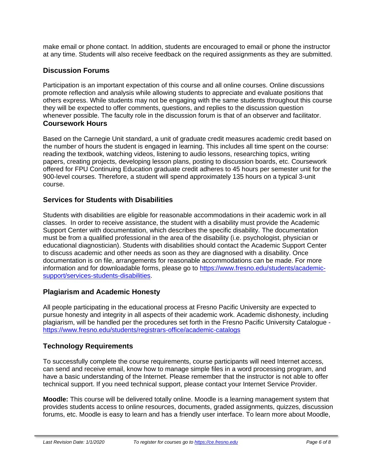make email or phone contact. In addition, students are encouraged to email or phone the instructor at any time. Students will also receive feedback on the required assignments as they are submitted.

## **Discussion Forums**

Participation is an important expectation of this course and all online courses. Online discussions promote reflection and analysis while allowing students to appreciate and evaluate positions that others express. While students may not be engaging with the same students throughout this course they will be expected to offer comments, questions, and replies to the discussion question whenever possible. The faculty role in the discussion forum is that of an observer and facilitator. **Coursework Hours**

Based on the Carnegie Unit standard, a unit of graduate credit measures academic credit based on the number of hours the student is engaged in learning. This includes all time spent on the course: reading the textbook, watching videos, listening to audio lessons, researching topics, writing papers, creating projects, developing lesson plans, posting to discussion boards, etc. Coursework offered for FPU Continuing Education graduate credit adheres to 45 hours per semester unit for the 900-level courses. Therefore, a student will spend approximately 135 hours on a typical 3-unit course.

## **Services for Students with Disabilities**

Students with disabilities are eligible for reasonable accommodations in their academic work in all classes. In order to receive assistance, the student with a disability must provide the Academic Support Center with documentation, which describes the specific disability. The documentation must be from a qualified professional in the area of the disability (i.e. psychologist, physician or educational diagnostician). Students with disabilities should contact the Academic Support Center to discuss academic and other needs as soon as they are diagnosed with a disability. Once documentation is on file, arrangements for reasonable accommodations can be made. For more information and for downloadable forms, please go to [https://www.fresno.edu/students/academic](https://www.fresno.edu/students/academic-support/services-students-disabilities)[support/services-students-disabilities.](https://www.fresno.edu/students/academic-support/services-students-disabilities)

## **Plagiarism and Academic Honesty**

All people participating in the educational process at Fresno Pacific University are expected to pursue honesty and integrity in all aspects of their academic work. Academic dishonesty, including plagiarism, will be handled per the procedures set forth in the Fresno Pacific University Catalogue <https://www.fresno.edu/students/registrars-office/academic-catalogs>

# **Technology Requirements**

To successfully complete the course requirements, course participants will need Internet access, can send and receive email, know how to manage simple files in a word processing program, and have a basic understanding of the Internet. Please remember that the instructor is not able to offer technical support. If you need technical support, please contact your Internet Service Provider.

**Moodle:** This course will be delivered totally online. Moodle is a learning management system that provides students access to online resources, documents, graded assignments, quizzes, discussion forums, etc. Moodle is easy to learn and has a friendly user interface. To learn more about Moodle,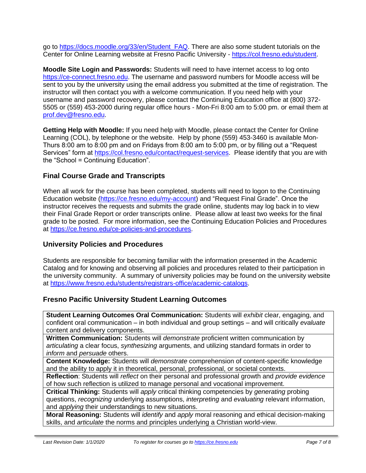go to [https://docs.moodle.org/33/en/Student\\_FAQ.](https://docs.moodle.org/33/en/Student_FAQ) There are also some student tutorials on the Center for Online Learning website at Fresno Pacific University - [https://col.fresno.edu/student.](https://col.fresno.edu/student)

**Moodle Site Login and Passwords:** Students will need to have internet access to log onto [https://ce-connect.fresno.edu.](https://ce-connect.fresno.edu/) The username and password numbers for Moodle access will be sent to you by the university using the email address you submitted at the time of registration. The instructor will then contact you with a welcome communication. If you need help with your username and password recovery, please contact the Continuing Education office at (800) 372- 5505 or (559) 453-2000 during regular office hours - Mon-Fri 8:00 am to 5:00 pm. or email them at [prof.dev@fresno.edu.](mailto:prof.dev@fresno.edu)

**Getting Help with Moodle:** If you need help with Moodle, please contact the Center for Online Learning (COL), by telephone or the website. Help by phone (559) 453-3460 is available Mon-Thurs 8:00 am to 8:00 pm and on Fridays from 8:00 am to 5:00 pm, or by filling out a "Request Services" form at [https://col.fresno.edu/contact/request-services.](https://col.fresno.edu/contact/request-services) Please identify that you are with the "School = Continuing Education".

# **Final Course Grade and Transcripts**

When all work for the course has been completed, students will need to logon to the Continuing Education website [\(https://ce.fresno.edu/my-account\)](https://ce.fresno.edu/my-account) and "Request Final Grade". Once the instructor receives the requests and submits the grade online, students may log back in to view their Final Grade Report or order transcripts online. Please allow at least two weeks for the final grade to be posted. For more information, see the Continuing Education Policies and Procedures at [https://ce.fresno.edu/ce-policies-and-procedures.](https://ce.fresno.edu/ce-policies-and-procedures)

## **University Policies and Procedures**

Students are responsible for becoming familiar with the information presented in the Academic Catalog and for knowing and observing all policies and procedures related to their participation in the university community. A summary of university policies may be found on the university website at [https://www.fresno.edu/students/registrars-office/academic-catalogs.](https://www.fresno.edu/students/registrars-office/academic-catalogs)

# **Fresno Pacific University Student Learning Outcomes**

**Student Learning Outcomes Oral Communication:** Students will *exhibit* clear, engaging, and confident oral communication – in both individual and group settings – and will critically *evaluate*  content and delivery components.

**Written Communication:** Students will *demonstrate* proficient written communication by *articulating* a clear focus, *synthesizing* arguments, and utilizing standard formats in order to *inform* and *persuade* others.

**Content Knowledge:** Students will *demonstrate* comprehension of content-specific knowledge and the ability to apply it in theoretical, personal, professional, or societal contexts.

**Reflection**: Students will *reflect* on their personal and professional growth and *provide evidence*  of how such reflection is utilized to manage personal and vocational improvement.

**Critical Thinking:** Students will *apply* critical thinking competencies by *generating* probing questions, *recognizing* underlying assumptions, *interpreting* and *evaluating* relevant information, and *applying* their understandings to new situations.

**Moral Reasoning:** Students will *identify* and *apply* moral reasoning and ethical decision-making skills, and *articulate* the norms and principles underlying a Christian world-view.